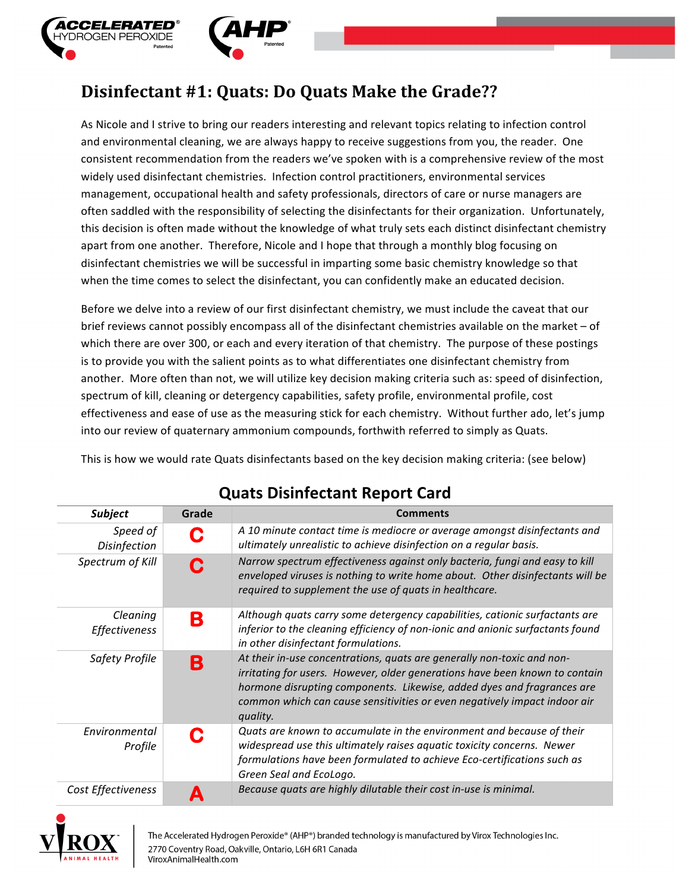

## **Disinfectant** #1: Quats: Do Quats Make the Grade??

As Nicole and I strive to bring our readers interesting and relevant topics relating to infection control and environmental cleaning, we are always happy to receive suggestions from you, the reader. One consistent recommendation from the readers we've spoken with is a comprehensive review of the most widely used disinfectant chemistries. Infection control practitioners, environmental services management, occupational health and safety professionals, directors of care or nurse managers are often saddled with the responsibility of selecting the disinfectants for their organization. Unfortunately, this decision is often made without the knowledge of what truly sets each distinct disinfectant chemistry apart from one another. Therefore, Nicole and I hope that through a monthly blog focusing on disinfectant chemistries we will be successful in imparting some basic chemistry knowledge so that when the time comes to select the disinfectant, you can confidently make an educated decision.

Before we delve into a review of our first disinfectant chemistry, we must include the caveat that our brief reviews cannot possibly encompass all of the disinfectant chemistries available on the market  $-$  of which there are over 300, or each and every iteration of that chemistry. The purpose of these postings is to provide you with the salient points as to what differentiates one disinfectant chemistry from another. More often than not, we will utilize key decision making criteria such as: speed of disinfection, spectrum of kill, cleaning or detergency capabilities, safety profile, environmental profile, cost effectiveness and ease of use as the measuring stick for each chemistry. Without further ado, let's jump into our review of quaternary ammonium compounds, forthwith referred to simply as Quats.

This is how we would rate Quats disinfectants based on the key decision making criteria: (see below)

| <b>Subject</b>                  | Grade | <b>Comments</b>                                                                                                                                                                                                                                                                                                          |
|---------------------------------|-------|--------------------------------------------------------------------------------------------------------------------------------------------------------------------------------------------------------------------------------------------------------------------------------------------------------------------------|
| Speed of<br><b>Disinfection</b> |       | A 10 minute contact time is mediocre or average amongst disinfectants and<br>ultimately unrealistic to achieve disinfection on a regular basis.                                                                                                                                                                          |
| Spectrum of Kill                |       | Narrow spectrum effectiveness against only bacteria, fungi and easy to kill<br>enveloped viruses is nothing to write home about. Other disinfectants will be<br>required to supplement the use of quats in healthcare.                                                                                                   |
| Cleaning<br>Effectiveness       | B     | Although quats carry some detergency capabilities, cationic surfactants are<br>inferior to the cleaning efficiency of non-ionic and anionic surfactants found<br>in other disinfectant formulations.                                                                                                                     |
| Safety Profile                  | В     | At their in-use concentrations, quats are generally non-toxic and non-<br>irritating for users. However, older generations have been known to contain<br>hormone disrupting components. Likewise, added dyes and fragrances are<br>common which can cause sensitivities or even negatively impact indoor air<br>quality. |
| Environmental<br>Profile        |       | Quats are known to accumulate in the environment and because of their<br>widespread use this ultimately raises aquatic toxicity concerns. Newer<br>formulations have been formulated to achieve Eco-certifications such as<br>Green Seal and EcoLogo.                                                                    |
| Cost Effectiveness              |       | Because quats are highly dilutable their cost in-use is minimal.                                                                                                                                                                                                                                                         |

## **Quats Disinfectant Report Card**